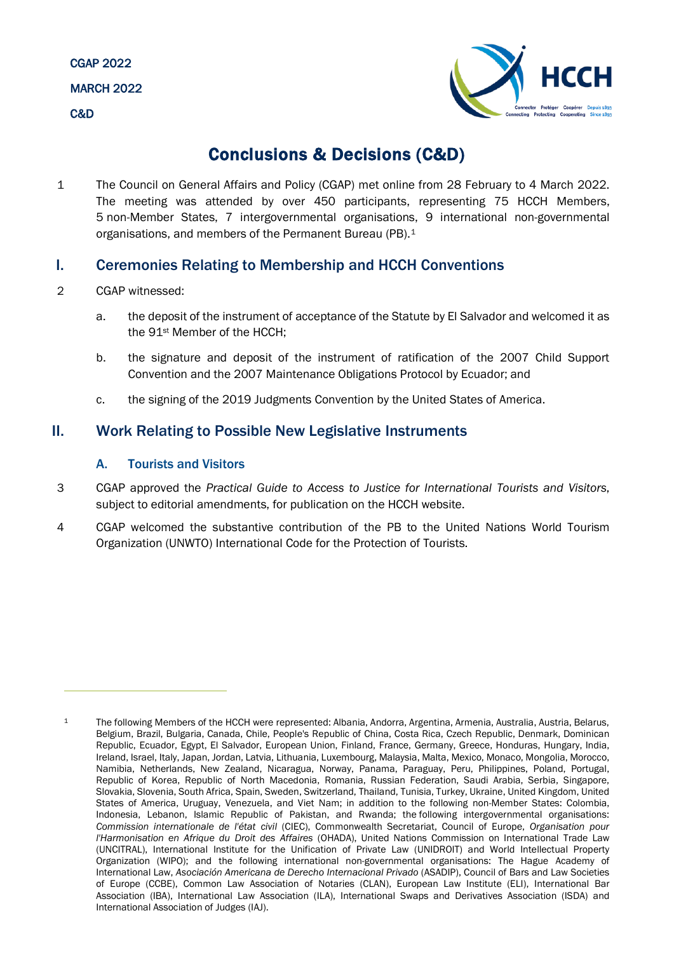

# Conclusions & Decisions (C&D)

1 The Council on General Affairs and Policy (CGAP) met online from 28 February to 4 March 2022. The meeting was attended by over 450 participants, representing 75 HCCH Members, 5 non-Member States, 7 intergovernmental organisations, 9 international non-governmental organisations, and members of the Permanent Bureau (PB).[1](#page-0-0)

# I. Ceremonies Relating to Membership and HCCH Conventions

- 2 CGAP witnessed:
	- a. the deposit of the instrument of acceptance of the Statute by El Salvador and welcomed it as the 91st Member of the HCCH;
	- b. the signature and deposit of the instrument of ratification of the 2007 Child Support Convention and the 2007 Maintenance Obligations Protocol by Ecuador; and
	- c. the signing of the 2019 Judgments Convention by the United States of America.

# II. Work Relating to Possible New Legislative Instruments

# A. Tourists and Visitors

- 3 CGAP approved the *Practical Guide to Access to Justice for International Tourists and Visitors*, subject to editorial amendments, for publication on the HCCH website.
- 4 CGAP welcomed the substantive contribution of the PB to the United Nations World Tourism Organization (UNWTO) International Code for the Protection of Tourists.

<span id="page-0-0"></span><sup>1</sup> The following Members of the HCCH were represented: Albania, Andorra, Argentina, Armenia, Australia, Austria, Belarus, Belgium, Brazil, Bulgaria, Canada, Chile, People's Republic of China, Costa Rica, Czech Republic, Denmark, Dominican Republic, Ecuador, Egypt, El Salvador, European Union, Finland, France, Germany, Greece, Honduras, Hungary, India, Ireland, Israel, Italy, Japan, Jordan, Latvia, Lithuania, Luxembourg, Malaysia, Malta, Mexico, Monaco, Mongolia, Morocco, Namibia, Netherlands, New Zealand, Nicaragua, Norway, Panama, Paraguay, Peru, Philippines, Poland, Portugal, Republic of Korea, Republic of North Macedonia, Romania, Russian Federation, Saudi Arabia, Serbia, Singapore, Slovakia, Slovenia, South Africa, Spain, Sweden, Switzerland, Thailand, Tunisia, Turkey, Ukraine, United Kingdom, United States of America, Uruguay, Venezuela, and Viet Nam; in addition to the following non-Member States: Colombia, Indonesia, Lebanon, Islamic Republic of Pakistan, and Rwanda; the following intergovernmental organisations: *Commission internationale de l'état civil* (CIEC), Commonwealth Secretariat, Council of Europe, *Organisation pour l'Harmonisation en Afrique du Droit des Affaires* (OHADA), United Nations Commission on International Trade Law (UNCITRAL), International Institute for the Unification of Private Law (UNIDROIT) and World Intellectual Property Organization (WIPO); and the following international non-governmental organisations: The Hague Academy of International Law, *Asociación Americana de Derecho Internacional Privado* (ASADIP), Council of Bars and Law Societies of Europe (CCBE), Common Law Association of Notaries (CLAN), European Law Institute (ELI), International Bar Association (IBA), International Law Association (ILA), International Swaps and Derivatives Association (ISDA) and International Association of Judges (IAJ).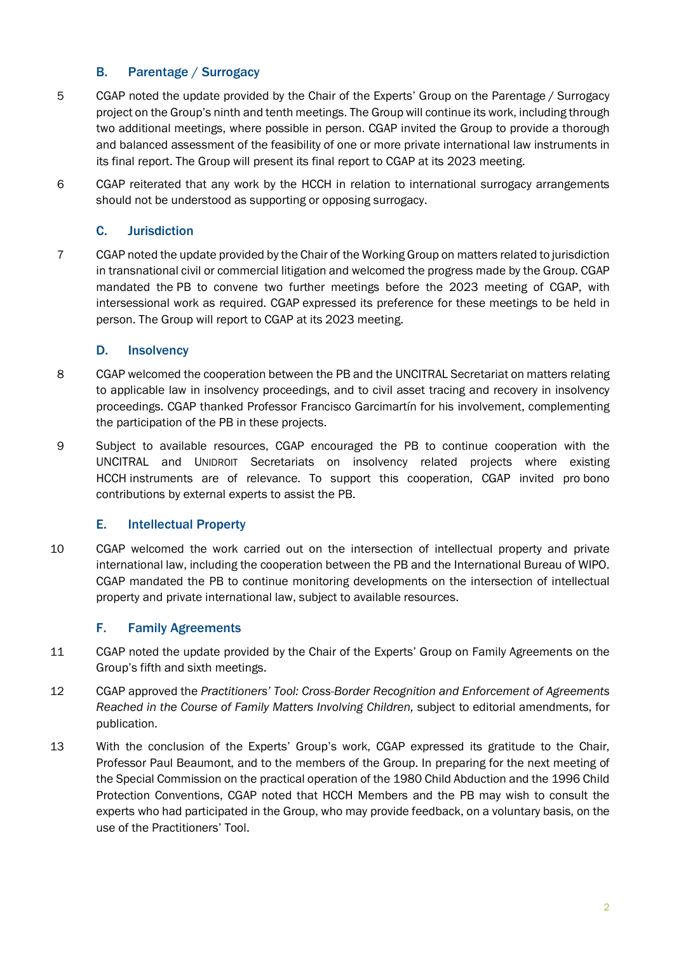# B. Parentage / Surrogacy

- 5 CGAP noted the update provided by the Chair of the Experts' Group on the Parentage / Surrogacy project on the Group's ninth and tenth meetings. The Group will continue its work, including through two additional meetings, where possible in person. CGAP invited the Group to provide a thorough and balanced assessment of the feasibility of one or more private international law instruments in its final report. The Group will present its final report to CGAP at its 2023 meeting.
- 6 CGAP reiterated that any work by the HCCH in relation to international surrogacy arrangements should not be understood as supporting or opposing surrogacy.

# C. Jurisdiction

7 CGAP noted the update provided by the Chair of the Working Group on matters related to jurisdiction in transnational civil or commercial litigation and welcomed the progress made by the Group. CGAP mandated the PB to convene two further meetings before the 2023 meeting of CGAP, with intersessional work as required. CGAP expressed its preference for these meetings to be held in person. The Group will report to CGAP at its 2023 meeting.

# D. Insolvency

- 8 CGAP welcomed the cooperation between the PB and the UNCITRAL Secretariat on matters relating to applicable law in insolvency proceedings, and to civil asset tracing and recovery in insolvency proceedings. CGAP thanked Professor Francisco Garcimartín for his involvement, complementing the participation of the PB in these projects.
- 9 Subject to available resources, CGAP encouraged the PB to continue cooperation with the UNCITRAL and UNIDROIT Secretariats on insolvency related projects where existing HCCH instruments are of relevance. To support this cooperation, CGAP invited pro bono contributions by external experts to assist the PB.

# E. Intellectual Property

10 CGAP welcomed the work carried out on the intersection of intellectual property and private international law, including the cooperation between the PB and the International Bureau of WIPO. CGAP mandated the PB to continue monitoring developments on the intersection of intellectual property and private international law, subject to available resources.

# F. Family Agreements

- 11 CGAP noted the update provided by the Chair of the Experts' Group on Family Agreements on the Group's fifth and sixth meetings.
- 12 CGAP approved the *Practitioners' Tool: Cross-Border Recognition and Enforcement of Agreements Reached in the Course of Family Matters Involving Children,* subject to editorial amendments, for publication.
- 13 With the conclusion of the Experts' Group's work, CGAP expressed its gratitude to the Chair, Professor Paul Beaumont, and to the members of the Group. In preparing for the next meeting of the Special Commission on the practical operation of the 1980 Child Abduction and the 1996 Child Protection Conventions, CGAP noted that HCCH Members and the PB may wish to consult the experts who had participated in the Group, who may provide feedback, on a voluntary basis, on the use of the Practitioners' Tool.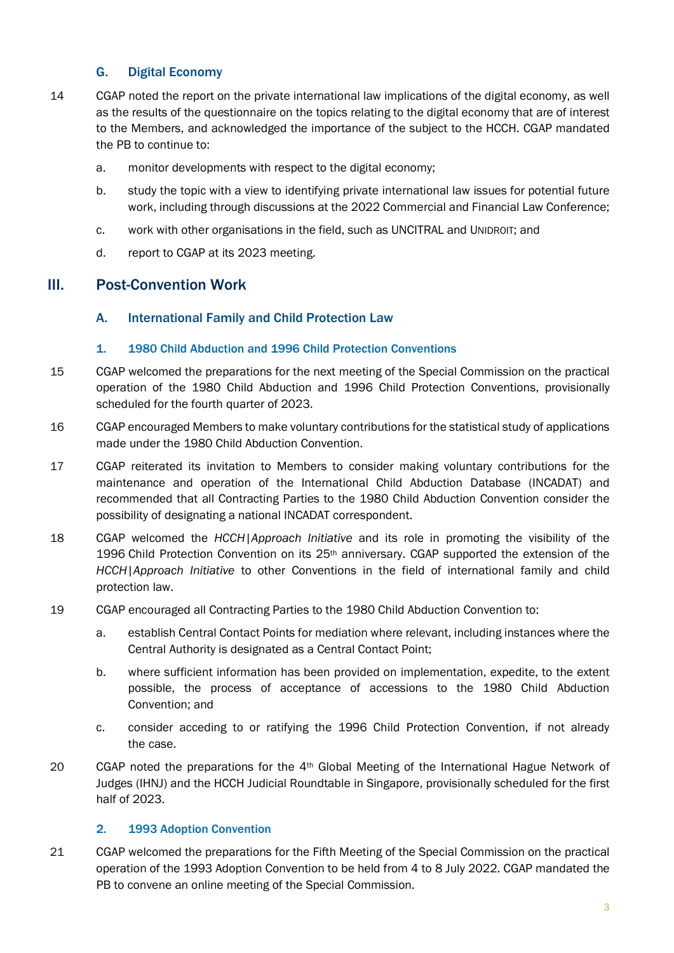# G. Digital Economy

- 14 CGAP noted the report on the private international law implications of the digital economy, as well as the results of the questionnaire on the topics relating to the digital economy that are of interest to the Members, and acknowledged the importance of the subject to the HCCH. CGAP mandated the PB to continue to:
	- a. monitor developments with respect to the digital economy;
	- b. study the topic with a view to identifying private international law issues for potential future work, including through discussions at the 2022 Commercial and Financial Law Conference;
	- c. work with other organisations in the field, such as UNCITRAL and UNIDROIT; and
	- d. report to CGAP at its 2023 meeting.

# III. Post-Convention Work

#### A. International Family and Child Protection Law

#### 1. 1980 Child Abduction and 1996 Child Protection Conventions

- 15 CGAP welcomed the preparations for the next meeting of the Special Commission on the practical operation of the 1980 Child Abduction and 1996 Child Protection Conventions, provisionally scheduled for the fourth quarter of 2023.
- 16 CGAP encouraged Members to make voluntary contributions for the statistical study of applications made under the 1980 Child Abduction Convention.
- 17 CGAP reiterated its invitation to Members to consider making voluntary contributions for the maintenance and operation of the International Child Abduction Database (INCADAT) and recommended that all Contracting Parties to the 1980 Child Abduction Convention consider the possibility of designating a national INCADAT correspondent.
- 18 CGAP welcomed the *HCCH|Approach Initiative* and its role in promoting the visibility of the 1996 Child Protection Convention on its  $25<sup>th</sup>$  anniversary. CGAP supported the extension of the *HCCH|Approach Initiative* to other Conventions in the field of international family and child protection law.
- 19 CGAP encouraged all Contracting Parties to the 1980 Child Abduction Convention to:
	- a. establish Central Contact Points for mediation where relevant, including instances where the Central Authority is designated as a Central Contact Point;
	- b. where sufficient information has been provided on implementation, expedite, to the extent possible, the process of acceptance of accessions to the 1980 Child Abduction Convention; and
	- c. consider acceding to or ratifying the 1996 Child Protection Convention, if not already the case.
- 20 CGAP noted the preparations for the 4<sup>th</sup> Global Meeting of the International Hague Network of Judges (IHNJ) and the HCCH Judicial Roundtable in Singapore, provisionally scheduled for the first half of 2023.

#### 2. 1993 Adoption Convention

21 CGAP welcomed the preparations for the Fifth Meeting of the Special Commission on the practical operation of the 1993 Adoption Convention to be held from 4 to 8 July 2022. CGAP mandated the PB to convene an online meeting of the Special Commission.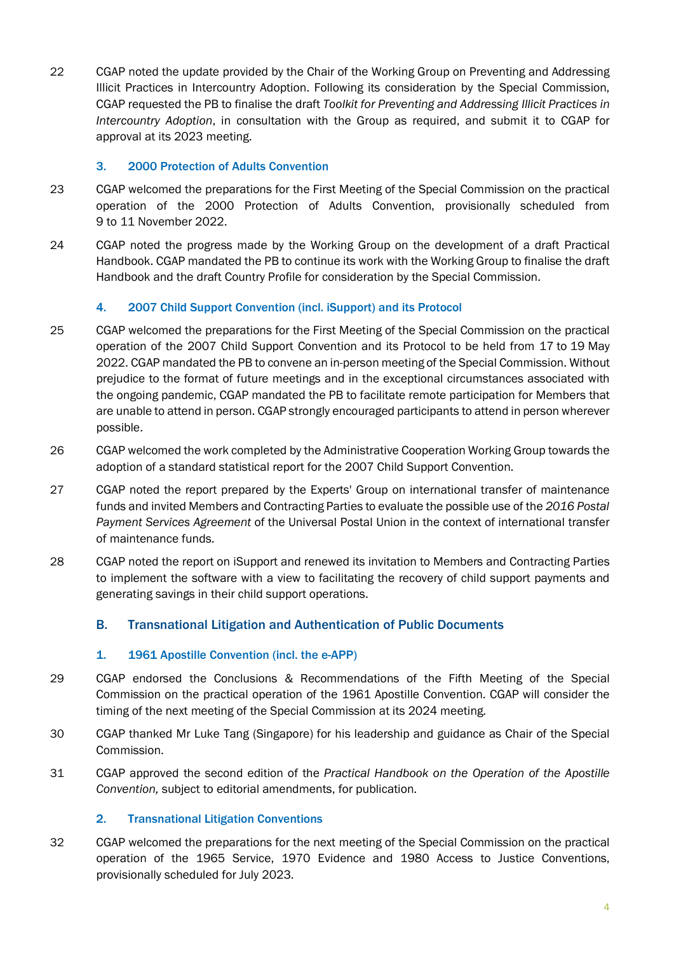22 CGAP noted the update provided by the Chair of the Working Group on Preventing and Addressing Illicit Practices in Intercountry Adoption. Following its consideration by the Special Commission, CGAP requested the PB to finalise the draft *Toolkit for Preventing and Addressing Illicit Practices in Intercountry Adoption*, in consultation with the Group as required, and submit it to CGAP for approval at its 2023 meeting.

# 3. 2000 Protection of Adults Convention

- 23 CGAP welcomed the preparations for the First Meeting of the Special Commission on the practical operation of the 2000 Protection of Adults Convention, provisionally scheduled from 9 to 11 November 2022.
- 24 CGAP noted the progress made by the Working Group on the development of a draft Practical Handbook. CGAP mandated the PB to continue its work with the Working Group to finalise the draft Handbook and the draft Country Profile for consideration by the Special Commission.

# 4. 2007 Child Support Convention (incl. iSupport) and its Protocol

- 25 CGAP welcomed the preparations for the First Meeting of the Special Commission on the practical operation of the 2007 Child Support Convention and its Protocol to be held from 17 to 19 May 2022. CGAP mandated the PB to convene an in-person meeting of the Special Commission. Without prejudice to the format of future meetings and in the exceptional circumstances associated with the ongoing pandemic, CGAP mandated the PB to facilitate remote participation for Members that are unable to attend in person. CGAP strongly encouraged participants to attend in person wherever possible.
- 26 CGAP welcomed the work completed by the Administrative Cooperation Working Group towards the adoption of a standard statistical report for the 2007 Child Support Convention.
- 27 CGAP noted the report prepared by the Experts' Group on international transfer of maintenance funds and invited Members and Contracting Parties to evaluate the possible use of the *2016 Postal Payment Services Agreement* of the Universal Postal Union in the context of international transfer of maintenance funds.
- 28 CGAP noted the report on iSupport and renewed its invitation to Members and Contracting Parties to implement the software with a view to facilitating the recovery of child support payments and generating savings in their child support operations.

# B. Transnational Litigation and Authentication of Public Documents

#### 1. 1961 Apostille Convention (incl. the e-APP)

- 29 CGAP endorsed the Conclusions & Recommendations of the Fifth Meeting of the Special Commission on the practical operation of the 1961 Apostille Convention. CGAP will consider the timing of the next meeting of the Special Commission at its 2024 meeting.
- 30 CGAP thanked Mr Luke Tang (Singapore) for his leadership and guidance as Chair of the Special Commission.
- 31 CGAP approved the second edition of the *Practical Handbook on the Operation of the Apostille Convention,* subject to editorial amendments, for publication.

#### 2. Transnational Litigation Conventions

32 CGAP welcomed the preparations for the next meeting of the Special Commission on the practical operation of the 1965 Service, 1970 Evidence and 1980 Access to Justice Conventions, provisionally scheduled for July 2023.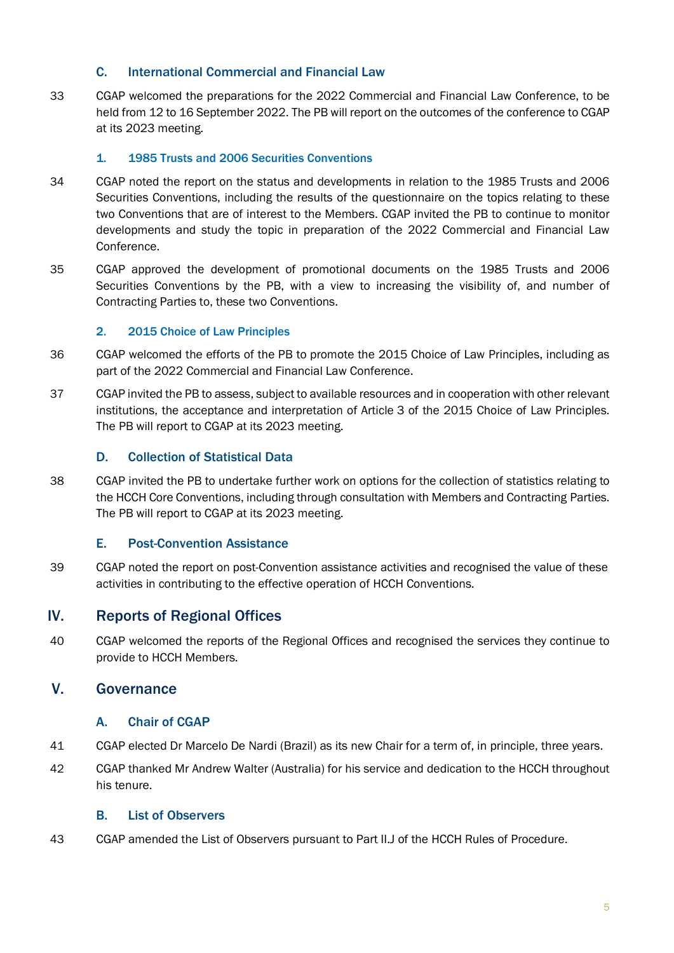# C. International Commercial and Financial Law

33 CGAP welcomed the preparations for the 2022 Commercial and Financial Law Conference, to be held from 12 to 16 September 2022. The PB will report on the outcomes of the conference to CGAP at its 2023 meeting.

#### 1. 1985 Trusts and 2006 Securities Conventions

- 34 CGAP noted the report on the status and developments in relation to the 1985 Trusts and 2006 Securities Conventions, including the results of the questionnaire on the topics relating to these two Conventions that are of interest to the Members. CGAP invited the PB to continue to monitor developments and study the topic in preparation of the 2022 Commercial and Financial Law Conference.
- 35 CGAP approved the development of promotional documents on the 1985 Trusts and 2006 Securities Conventions by the PB, with a view to increasing the visibility of, and number of Contracting Parties to, these two Conventions.

#### 2. 2015 Choice of Law Principles

- 36 CGAP welcomed the efforts of the PB to promote the 2015 Choice of Law Principles, including as part of the 2022 Commercial and Financial Law Conference.
- 37 CGAP invited the PB to assess, subject to available resources and in cooperation with other relevant institutions, the acceptance and interpretation of Article 3 of the 2015 Choice of Law Principles. The PB will report to CGAP at its 2023 meeting.

#### D. Collection of Statistical Data

38 CGAP invited the PB to undertake further work on options for the collection of statistics relating to the HCCH Core Conventions, including through consultation with Members and Contracting Parties. The PB will report to CGAP at its 2023 meeting.

#### E. Post-Convention Assistance

39 CGAP noted the report on post-Convention assistance activities and recognised the value of these activities in contributing to the effective operation of HCCH Conventions.

# IV. Reports of Regional Offices

40 CGAP welcomed the reports of the Regional Offices and recognised the services they continue to provide to HCCH Members.

# V. Governance

#### A. Chair of CGAP

- 41 CGAP elected Dr Marcelo De Nardi (Brazil) as its new Chair for a term of, in principle, three years.
- 42 CGAP thanked Mr Andrew Walter (Australia) for his service and dedication to the HCCH throughout his tenure.

#### B. List of Observers

43 CGAP amended the List of Observers pursuant to Part II.J of the HCCH Rules of Procedure.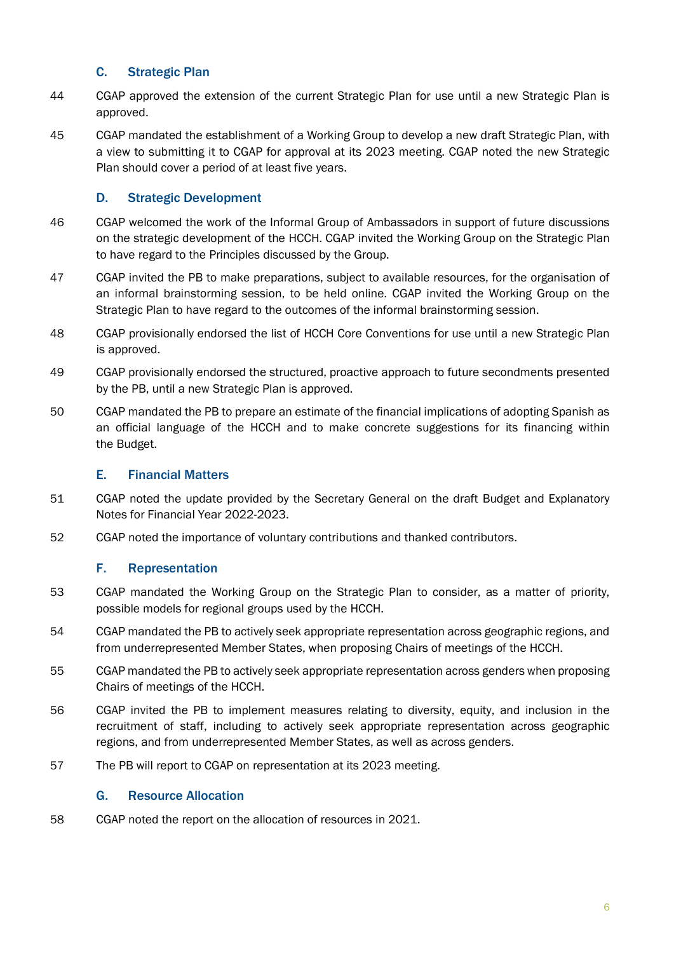# C. Strategic Plan

- 44 CGAP approved the extension of the current Strategic Plan for use until a new Strategic Plan is approved.
- 45 CGAP mandated the establishment of a Working Group to develop a new draft Strategic Plan, with a view to submitting it to CGAP for approval at its 2023 meeting. CGAP noted the new Strategic Plan should cover a period of at least five years.

# D. Strategic Development

- 46 CGAP welcomed the work of the Informal Group of Ambassadors in support of future discussions on the strategic development of the HCCH. CGAP invited the Working Group on the Strategic Plan to have regard to the Principles discussed by the Group.
- 47 CGAP invited the PB to make preparations, subject to available resources, for the organisation of an informal brainstorming session, to be held online. CGAP invited the Working Group on the Strategic Plan to have regard to the outcomes of the informal brainstorming session.
- 48 CGAP provisionally endorsed the list of HCCH Core Conventions for use until a new Strategic Plan is approved.
- 49 CGAP provisionally endorsed the structured, proactive approach to future secondments presented by the PB, until a new Strategic Plan is approved.
- 50 CGAP mandated the PB to prepare an estimate of the financial implications of adopting Spanish as an official language of the HCCH and to make concrete suggestions for its financing within the Budget.

#### E. Financial Matters

- 51 CGAP noted the update provided by the Secretary General on the draft Budget and Explanatory Notes for Financial Year 2022-2023.
- 52 CGAP noted the importance of voluntary contributions and thanked contributors.

#### F. Representation

- 53 CGAP mandated the Working Group on the Strategic Plan to consider, as a matter of priority, possible models for regional groups used by the HCCH.
- 54 CGAP mandated the PB to actively seek appropriate representation across geographic regions, and from underrepresented Member States, when proposing Chairs of meetings of the HCCH.
- 55 CGAP mandated the PB to actively seek appropriate representation across genders when proposing Chairs of meetings of the HCCH.
- 56 CGAP invited the PB to implement measures relating to diversity, equity, and inclusion in the recruitment of staff, including to actively seek appropriate representation across geographic regions, and from underrepresented Member States, as well as across genders.
- 57 The PB will report to CGAP on representation at its 2023 meeting.

#### G. Resource Allocation

58 CGAP noted the report on the allocation of resources in 2021.